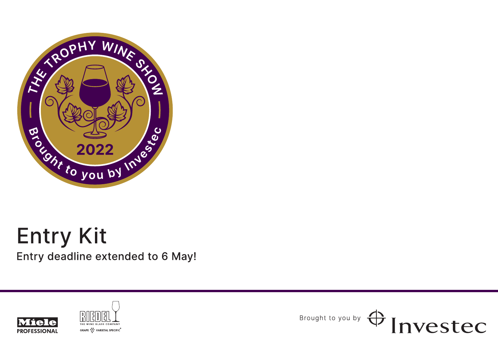

# **Entry Kit**

Entry deadline extended to 6 May!





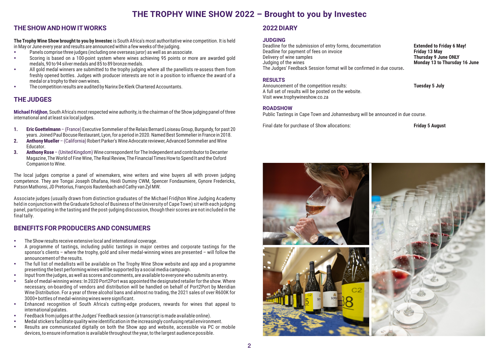# **THE TROPHY WINE SHOW 2022 – Brought to you by Investec**

# **THE SHOW AND HOW ITWORKS**

The Trophy Wine Show brought to you by Investec is South Africa's most authoritative wine competition. It is held in May or June every year and results are announced within <sup>a</sup> few weeks of the judging.

- -Panels comprise three judges (including one overseas juror) as well as an associate.
- - Scoring is based on <sup>a</sup> 100-point system where wines achieving 95 points or more are awarded gold medals, 90 to 94 silver medals and 85 to 89 bronze medals.
- - All gold medal winners are submitted to the trophy judging where all the panellists re-assess them from freshly opened bottles. Judges with producer interests are not in <sup>a</sup> position to influence the award of <sup>a</sup> medal or <sup>a</sup> trophy to their own wines.
- -The competition results are audited by Narinx De Klerk Chartered Accountants.

# **THE JUDGES**

**Michael Fridjhon**, South Africa's most respected wine authority, is the chairman of the Show judging panel of three international and at least six local judges.

- **1. Eric Goettelmann**–(France) Executive Sommelier of the Relais Bernard Loiseau Group, Burgundy, for past 20 years. Joined Paul Bocuse Restaurant, Lyon, for <sup>a</sup> period in 2020. Named Best Sommelier in France in 2018.
- **2. r Anthony Muelle** (California) Robert Parker's Wine Advocate reviewer, Advanced Sommelier and Wine Educator.
- **3.Anthony Rose** – (United Kingdom) Wine correspondent for The Independent and contributor to Decanter Magazine, The World of Fine Wine, The Real Review, The Financial Times How to Spend It and the Oxford Companion to Wine.

The local judges comprise <sup>a</sup> panel of winemakers, wine writers and wine buyers all with proven judging competence. They are Tongai Joseph Dhafana, Heidi Duminy CWM, Spencer Fondaumiere, Gynore Fredericks, Patson Mathonsi, JD Pretorius, François Rautenbach and Cathy van Zyl MW.

Associate judges (usually drawn from distinction graduates of the Michael Fridjhon Wine Judging Academy held in conjunction with the Graduate School of Business of the University of Cape Town) sit with each judging panel, participating in the tasting and the post-judging discussion, though their scores are not included in the final tally.

# **BENEFITS FOR PRODUCERS AND CONSUMERS**

- -The Show results receive extensive local and international coverage.
- - A programme of tastings, including public tastings in major centres and corporate tastings for the sponsor's clients – where the trophy, gold and silver medal-winning wines are presented – will follow the announcement of the results.
- The full list of medallists will be available on The Trophy Wine Show website and app and <sup>a</sup> programme presenting the best performing wines will be supported by <sup>a</sup> social media campaign.
- -Input from the judges, as well as scores and comments, are available to everyone who submits an entry.
- - Sale of medal-winning wines: In 2020 Port2Port was appointed the designated retailer for the show. Where necessary, on-boarding of vendors and distribution will be handled on behalf of Port2Port by Meridian Wine Distribution. For <sup>a</sup> year of three alcohol bans and almost no trading, the 2021 sales of over R600K for 3000+ bottles of medal-winning wines were significant.
- - Enhanced recognition of South Africa's cutting-edge producers, rewards for wines that appeal to international palates.
- -Feedback from judges at the Judges' Feedback session (a transcript is made available online).
- -Medal stickers facilitate quality wine identification in the increasingly confusing retail environment.
- $\bullet$  Results are communicated digitally on both the Show app and website, accessible via PC or mobile devices, to ensure information is available throughout the year, to the largest audience possible.

# **2022 DIARY**

#### **JUDGING**

 Deadline for the submission of entry forms, documentation **Extended to Friday 6 May!** Deadline for payment of fees on invoice<br>
Delivery of wine samples<br> **Delivery of wine samples**<br> **Delivery of wine samples Delivery of wine samples** Judging of the wines **Monday 13 to Thursday 16 June** The Judges' Feedback Session format will be confirmed in due course**.**

## **RESULTS**

 Announcement of the competition results: **Tuesday 5 July** A full set of results will be posted on the website. Visit www.trophywineshow.co.za

#### **ROADSHOW**

Public Tastings in Cape Town and Johannesburg will be announced in due course.

Final date for purchase of Show allocations: **Friday 5 August**

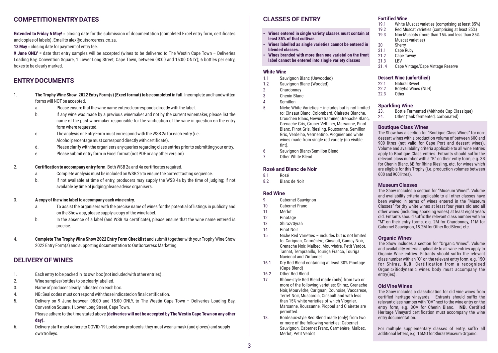# **COMPETITION ENTRY DATES**

**Extended to Friday 6 May!** <sup>=</sup> closing date for the submission of documentation (completed Excel entry form, certificates and copies of labels). Email to alex@outsorceress.co.za.

**13 May** <sup>=</sup> closing date for payment of entry fee.

**9 June ONLY** <sup>=</sup> date that entry samples will be accepted (wines to be delivered to The Westin Cape Town – Deliveries Loading Bay, Convention Square, <sup>1</sup> Lower Long Street, Cape Town, between 08:00 and 15:00 ONLY); <sup>6</sup> bottles per entry, boxes to be clearly marked.

# **ENTRY DOCUMENTS**

- 1.. The Trophy Wine Show 2022 Entry Form(s) (Excel format) to be completed in full. Incomplete and handwritten forms will NOT be accepted.
	- a. Please ensure that the wine name entered corresponds directly with the label.
	- b. If any wine was made by <sup>a</sup> previous winemaker and not by the current winemaker, please list the name of the past winemaker responsible for the vinification of the wine in question on the entry form where requested.
	- c. The analysis on Entry Form must correspond with the WSB 2a for each entry (i.e. Alcohol percentage must correspond directly with certificate).
	- d. Please clarify with the organisers any queries regarding class entries prior to submitting your entry.
	- e. Please submit entry form in Excel format (not PDF or any other version)

#### 2. Both WSB 2a and 4a certificates required. **Certification to accompany entry form**.

- a. Complete analysis must be included on WSB 2a to ensure the correct tasting sequence.
- b. If not available at time of entry, producers may supply the WSB 4a by the time of judging; if not available by time of judging please advise organisers.
- 3. **A copy of the wine label to accompany each wine entry.**
	- a. To assist the organisers with the precise name of wines for the potential of listings in publicity and on the Show app, please supply a copy of the wine label.
	- b. In the absence of <sup>a</sup> label (and WSB 4a certificate), please ensure that the wine name entered is precise.
- 4.Complete The Trophy Wine Show 2022 Entry Form Checklist and submit together with your Trophy Wine Show 2022 Entry Form(s) and supporting documentation to OutSorceress Marketing.

## **DELIVERY OF WINES**

- 1. Each entry to be packed in its own box (not included with other entries).
- 2. Wine samples/bottles to be clearly labelled.
- 3. Name of producer clearly indicated on each box.
- 4. NB: Seal codes must correspond with those indicated on final certification.
- 5. Delivery on 9 June between 08:00 and 15:00 ONLY, to The Westin Cape Town Deliveries Loading Bay, Convention Square, 1 Lower Long Street, Cape Town.

Please adhere to the time stated above **(deliveries will not be accepted by The Westin Cape Town on any other** 

#### **day).**

6. Delivery staff must adhere to COVID-19 Lockdown protocols: they must wear <sup>a</sup> mask (and gloves) and supply own trolleys.

# **CLASSES OF ENTRY**

- **Wines entered in single variety classes must contain at least 85% of that cultivar.**
- **Wines labelled as single varieties cannot be entered in blended classes.**
- **Wines branded with more than one varietal on the front label cannot be entered into single variety classes**

#### **White Wine**

- 1.1Sauvignon Blanc (Unwooded)
- 1.2Sauvignon Blanc (Wooded)
- 2Chardonnay
- 3Chenin Blanc
- 4 Semillon 5.
	- Niche White Varieties includes but is not limitedto: Cinsaut Blanc, Colombard, Clairette Blanche, Crouchen Blanc, Gewürztraminer, Grenache Blanc, Grenache Gris, Gruner Veltliner, Marsanne, Pinot Blanc, Pinot Gris, Riesling, Roussanne, Semillon Gris, Verdelho, Vermentino, Viognier and white wines made from single red variety (no visible tint).
- 6Sauvignon Blanc/Semillon Blend
- 7Other White Blend

#### **Rosé and Blanc de Noir**

- 8.1Rosé
- 8.2Blanc de Noir

#### **Red Wine**

- 9Cabernet Sauvignon
- 10Cabernet Franc
- 11Merlot
- 12Pinotage
- 13Shiraz/Syrah
- 14Pinot Noir
- 15 Niche Red Varieties – includes but is not limitedto: Carignan, Carménère, Cinsault, Gamay Noir, Grenache Noir, Malbec, Mourvèdre, Petit Verdot, Tannat, Tempranillo, Touriga Franca, Touriga Nacional and Zinfandel
- 16.1 Dry Red Blend containing at least 30% Pinotage (Cape Blend)
- 16.2Other Red Blend
- 17 Rhône-style Red Blend made (only) from two or more of the following varieties: Shiraz, Grenache Noir, Mourvèdre, Carignan, Counoise, Vaccarese, Terret Noir, Muscardin, Cinsault and with less than 15% white varieties of which Viognier, Marsanne, Roussanne, Picpoul and Clairette are permitted.
- 18. Bordeaux-style Red Blend made (only) from two or more of the following varieties: Cabernet Sauvignon, Cabernet Franc, Carménère, Malbec, Merlot, Petit Verdot

#### **Fortified Wine**

- 19.1White Muscat varieties (comprising at least 85%)
- 19.2Red Muscat varieties (comprising at least 85%)
- 19.3 Non-Muscats (more than 15% and less than 85% Muscat varieties)
- $20<sub>2</sub>$ Sherry
- 21.1Cape Ruby
- 21.2Cape Tawny
- 21.3LBV
- Cape Vintage/Cape Vintage Reserve 21. 4

#### **Dessert Wine (unfortified)**

- 22.1Natural Sweet
- 22.2Botrytis Wines (NLH)
- 22.3**Other**

## **Sparkling Wine**

- 23.Bottle Fermented (Méthode Cap Classique)
- 24.Other (tank fermented, carbonated)

#### **Boutique Class Wines**

The Show has <sup>a</sup> section for "Boutique Class Wines" for nondessert wines with <sup>a</sup> production volume of between 600 and 900 litres (not valid for Cape Port and dessert wines). Volume and availability criteria applicable to all wine entries apply to Boutique Class entries. Entrants should suffix the relevant class number with <sup>a</sup> "B" on their entry form, e.g. 3B for Chenin Blanc, 6B for Rhine Riesling, etc. for wines which are eligible for this Trophy (i.e. production volumes between 600 and 900 litres).

#### **Museum Classes**

The Show includes a section for "Museum Wines". Volume and availability criteria applicable to all other classes have been waived in terms of wines entered in the "Museum Classes" for dry white wines at least four years old and all other wines (including sparkling wines) at least eight years old. Entrants should suffix the relevant class number with an "M" on their entry forms, e.g. 2M for Chardonnay, 11M for Cabernet Sauvignon, 18.2M for Other Red Blend, etc.

#### **Organic Wines**

The Show includes a section for "Organic Wines". Volume and availability criteria applicable to all wine entries apply to Organic Wine entries. Entrants should suffix the relevant class number with an "O" on the relevant entry form, e.g. 15O for Shiraz. **N.B.** Certification from a recognised Organic/Biodynamic wines body must accompany the entry(ies).

#### **Old Vine Wines**

The Show includes a classification for old vine wines from certified heritage vineyards. Entrants should suffix the relevant class number with "OV" next to the wine entry on the entry form, e.g. 30V for Chenin Blanc. NB. Certified Heritage Vineyard certification must accompany the wine entry documentation.

For multiple supplementary classes of entry, suffix all additional letters, e.g. 15MO for Shiraz Museum Organic.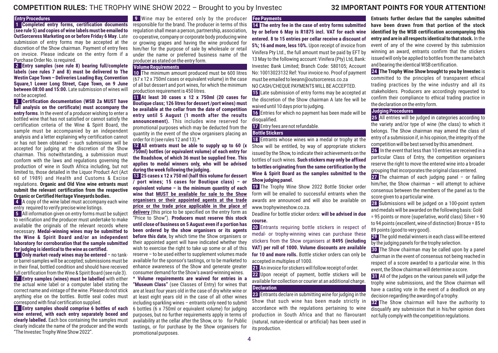# **COMPETITION RULES:** THE TROPHY WINE SHOW 2022 – Brought to you by Investec **3 IMPORTANT POINTS FOR YOUR ATTENTION! 2**

#### **Entry Procedures**

**1 Completed entry forms, certification documents (see rule 5) and copies of wine labels must be emailed to OutSorceress Marketing on or before Frida 6 May** y . Late submission of entry forms may be accepted at the discretion of the Show chairman. Payment of entry fees on invoice. Please indicate on the entry form if <sup>a</sup> Purchase Order No. is required.

**2 Entry samples (see rule 8) bearing full/complete labels (see rules 7 and 8) must be delivered to The Westin Cape Town – Deliveries Loading Bay, Convention Square,1 Lower Long Street, Cape Town, on 9 June between 08:00 and 15:00.** Late submission of wines will not be accepted.

**3 Certification documentation (WSB 2a MUST have full analysis on the certificate) must accompany the entry forms**. In the event of <sup>a</sup> producer wishing to enter <sup>a</sup> bottled wine that has not satisfied or cannot satisfy the certification criteria of the Wine & Spirit Board, the sample must be accompanied by an independent analysis and <sup>a</sup> letter explaining why certification cannot or has not been obtained – such submissions will beaccepted for judging at the discretion of the Show chairman. This notwithstanding, <sup>a</sup> submission must conform with the laws and regulations governing the production of wine in South Africa including, but not limited to, those detailed in the Liquor Product Act (Act 60 of 1989) and Health and Customs & Excise regulations. **Organic and Old Vine wine entrants must submit the relevant certification from the respective Organic or Certified Heritage Vineyards bodies.**

**4** A copy of the wine label must accompany each wine entry required to verify precise wine listings.

**5** All information given on entry forms must be subject to verification and the producer must undertake to make available the originals of the relevant records where necessary. **Medal-winning wines may be submitted to the Wine & Spirit Board and/or an independent laboratory for corroboration that the sample submitted for judging is identical to the wine as certified.**

**6 Only market-ready wines may be entered** – no tankor barrel-samples will be accepted; submissions must be in their final, bottled condition and should have received full certification from the Wine & Spirit Board (see rule 3).

**7 Entry samples (wines) must be labelled** with either the actual wine label or <sup>a</sup> computer label stating the correct name and vintage of the wine. Please do not stick anything else on the bottles. Bottle seal codes must correspond with final certification supplied.

**8 Entry samples should comprise 6 bottles of each wine entered, with each entry separately boxed and clearly labelled.** Each box containing the samples must clearly indicate the name of the producer and the words "The Investec Trophy Wine Show 2022".

**9** Wine may be entered only by the producer **Fee Payments** responsible for the brand. The producer in terms of this regulation shall mean <sup>a</sup> person, partnership, association, co-operative, company or corporate body producing wine or growing grapes and having the wine produced for him/her for the purpose of sale by wholesale or retail under the name or preferred business name of the producer as stated on the entry form.

#### **Volume Requirements**

**10** The minimum amount produced must be 600 litres (67 <sup>x</sup> 12 <sup>x</sup> 750ml cases or equivalent volume) in the case of all but dessert and port wines, for which the minimum production requirement is 450 litres.

**11 At least 30 cases <sup>x</sup> 12 <sup>x</sup> 750ml (20 cases for Boutique class; 126 litres for dessert /port wines) must be available at the cellar from the date of competition entry until 5 August (1 month after the results announcement).** This includes wine reserved for promotional purposes which may be deducted from the quantity in the event of the show organisers placing an order for it (see rules 12 and 13).\*

**12 All entrants must be able to supply up to (x 60 750ml) bottles (or equivalent volume) of each entry for the Roadshow, of which must be supplied free. This 36 applies to medal winners only, who will be advised during the week following the judging.**

**13 25 cases <sup>x</sup> 12 <sup>x</sup> 750 ml (half this volume for dessert / port wines; 15 cases for Boutique class) – or equivalent volume – is the minimum quantity of each wine that MUST be available for sale to the Showorganisers or their appointed agents at the trade price or the trade price applicable in the place of delivery** (this price to be specified on the entry form as "Price to Show"). **Producers must reserve this stock until close of business on 5 August even if <sup>a</sup> portion has been ordered by the show organisers or its agents before this date**, by which time the Show organisers or their appointed agent will have indicated whether they wish to exercise the right to take up some or all of this reserve – to be used either to supplement volumes made available for the sponsor's tastings, or to be marketed to enhance awareness of the Show and generate greater consumer demand for the Show's award-winning wines.

\* **Volume requirements are waived for entries in <sup>a</sup> "Museum Class"** (see Classes of Entry) for wines that are at least four years old in the case of dry white wine or at least eight years old in the case of all other wines including sparkling wines – entrants only need to submit <sup>6</sup> bottles (6 <sup>x</sup> 750ml or equivalent volume) for judging purposes, but no further requirements apply in terms of availability at the cellar after the Show, or to for Public tastings, or for purchase by the Show organisers for promotional purposes.

**14 The entry fee in the case of entry forms submitted by or before is R1875 6 May incl. VAT for each wine entered. 8 to 15 entries per cellar receive <sup>a</sup> discount of 5%; 16 and more, less 10%.** Upon receipt of invoice from Vinifera Pty Ltd., the full amount must be paid by EFT by 13 May to the following account: Vinifera (Pty) Ltd, Bank: Investec Bank Limited; Branch Code: 580105; Account No: 10013023132 Ref: Your invoice no. Proof of payment must be emailed to leeann@outsorceress.co.za NO CASH/CHEQUE PAYMENTS WILL BE ACCEPTED.

**15** Late submission of entry forms may be accepted at the discretion of the Show chairman A late fee will bewaived until 10 days prior to judging.

**16** Entries for which no payment has been made will be disqualified.

**17** Entry fees are not refundable.

#### **Bottle Stickers**

 **18** Entrants whose wines win <sup>a</sup> medal or trophy at the Show will be entitled, by way of appropriate stickers issued by the Show, to indicate their achievements on the bottles of such wines. **Such stickers may only be affixed to bottles originating from the same certification by the Wine & Spirit Board as the samples submitted to the Show judging panel.**

**19** The Trophy Wine Show 2022 Bottle Sticker order form will be emailed to successful entrants when theawards are announced and will also be available onwww.trophywineshow.co.za.

Deadline for bottle sticker orders: **will be advised in duecourse.**

**20** Entrants requiring bottle stickers in respect of medal- or trophy-winning wines can purchase these stickers from the Show organisers at **R495 (including VAT) per roll of 1000. Volume discounts are available for 10 and more rolls.** Bottle sticker orders can only be accepted in multiples of 1000.

**21** An invoice for stickers will follow receipt of order.

**22** Upon receipt of payment, bottle stickers will be available for collection or courier at an additional charge. **Declaration**

**23** Entrants declare in submitting wine for judging in the Show that such wine has been made strictly in accordance with the regulations pertaining to wine production in South Africa and that no flavourant (natural, nature-identical or artificial) has been used in its production.

**Entrants further declare that the samples submitted have been drawn from that portion of the stock identified by the WSB certification accompanying this entry and are in all respects identical to that stock.**In the event of any of the wine covered by this submission winning an award, entrants confirm that the stickers issued will only be applied to bottles from the same batch and bearing the identical WSB certification.

**24 The Trophy Wine Show brought to you by Investec** is committed to the principles of transparent ethical trading practices by the wine industry and all its stakeholders. Producers are accordingly requested to confirm their compliance to ethical trading practice in the declaration on the entry form.

#### **Judging Procedures**

**25** All entries will be judged in categories according to the variety and/or type of wine (the class) to which it belongs. The Show chairman may amend the class of entry of <sup>a</sup> submission if, in his opinion, the integrity of the competition will be best served by this amendment.

**26** In the event that less than 10 entries are received in <sup>a</sup> particular Class of Entry, the competition organisers reserve the right to move the entered wine into <sup>a</sup> broader grouping that incorporates the original class entered.

**27** The chairman of each judging panel – or failing him/her, the Show chairman – will attempt to achieve consensus between the members of the panel as to the score given to <sup>a</sup> particular wine.

**28** Submissions will be judged on <sup>a</sup> 100-point system and medals will be awarded on the following basis: Gold = 95 points or more (superlative, world class) Silver <sup>=</sup> 90 to <sup>94</sup> points (excellent, wine of distinction) Bronze <sup>=</sup> 85 to 89 points (good to very good).

**29** The gold medal winners in each class will be entered by the judging panels for the trophy selection.

**30** The Show chairman may be called upon by <sup>a</sup> panel chairman in the event of consensus not being reached in respect of <sup>a</sup> score awarded to <sup>a</sup> particular wine. In this event, the Show chairman will determine <sup>a</sup> score.

**31** All of the judges on the various panels will judge the trophy wine submissions, and the Show chairman will have <sup>a</sup> casting vote in the event of <sup>a</sup> deadlock on any decision regarding the awarding of <sup>a</sup> trophy.

**32** The Show chairman will have the authority to disqualify any submission that in his/her opinion does not fully comply with the competition regulations.